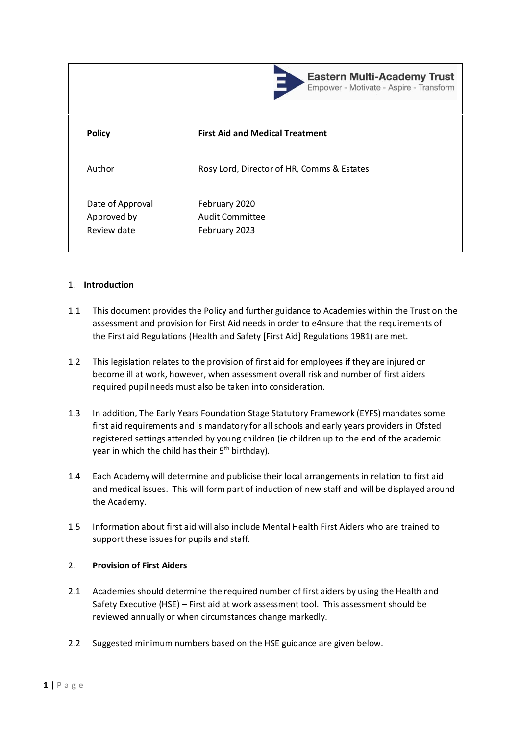

**Eastern Multi-Academy Trust** Empower - Motivate - Aspire - Transform

| <b>Policy</b>                                  | <b>First Aid and Medical Treatment</b>                   |
|------------------------------------------------|----------------------------------------------------------|
| Author                                         | Rosy Lord, Director of HR, Comms & Estates               |
| Date of Approval<br>Approved by<br>Review date | February 2020<br><b>Audit Committee</b><br>February 2023 |

#### 1. **Introduction**

- 1.1 This document provides the Policy and further guidance to Academies within the Trust on the assessment and provision for First Aid needs in order to e4nsure that the requirements of the First aid Regulations (Health and Safety [First Aid] Regulations 1981) are met.
- 1.2 This legislation relates to the provision of first aid for employees if they are injured or become ill at work, however, when assessment overall risk and number of first aiders required pupil needs must also be taken into consideration.
- 1.3 In addition, The Early Years Foundation Stage Statutory Framework (EYFS) mandates some first aid requirements and is mandatory for all schools and early years providers in Ofsted registered settings attended by young children (ie children up to the end of the academic year in which the child has their  $5<sup>th</sup>$  birthday).
- 1.4 Each Academy will determine and publicise their local arrangements in relation to first aid and medical issues. This will form part of induction of new staff and will be displayed around the Academy.
- 1.5 Information about first aid will also include Mental Health First Aiders who are trained to support these issues for pupils and staff.

# 2. **Provision of First Aiders**

- 2.1 Academies should determine the required number of first aiders by using the Health and Safety Executive (HSE) – First aid at work assessment tool. This assessment should be reviewed annually or when circumstances change markedly.
- 2.2 Suggested minimum numbers based on the HSE guidance are given below.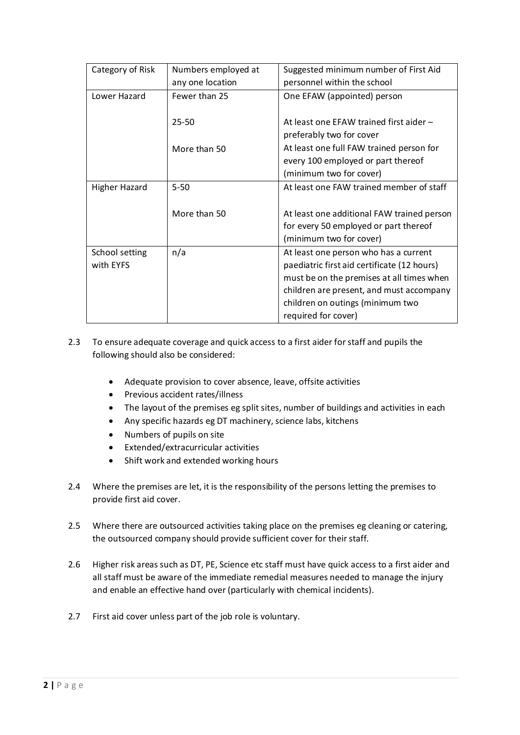| Category of Risk | Numbers employed at | Suggested minimum number of First Aid       |
|------------------|---------------------|---------------------------------------------|
|                  | any one location    | personnel within the school                 |
| Lower Hazard     | Fewer than 25       | One EFAW (appointed) person                 |
|                  |                     |                                             |
|                  | $25 - 50$           | At least one EFAW trained first aider -     |
|                  |                     | preferably two for cover                    |
|                  | More than 50        | At least one full FAW trained person for    |
|                  |                     | every 100 employed or part thereof          |
|                  |                     | (minimum two for cover)                     |
| Higher Hazard    | $5 - 50$            | At least one FAW trained member of staff    |
|                  |                     |                                             |
|                  | More than 50        | At least one additional FAW trained person  |
|                  |                     | for every 50 employed or part thereof       |
|                  |                     | (minimum two for cover)                     |
| School setting   | n/a                 | At least one person who has a current       |
| with EYFS        |                     | paediatric first aid certificate (12 hours) |
|                  |                     | must be on the premises at all times when   |
|                  |                     | children are present, and must accompany    |
|                  |                     | children on outings (minimum two            |
|                  |                     | required for cover)                         |

- 2.3 To ensure adequate coverage and quick access to a first aider for staff and pupils the following should also be considered:
	- Adequate provision to cover absence, leave, offsite activities
	- Previous accident rates/illness
	- The layout of the premises eg split sites, number of buildings and activities in each
	- Any specific hazards eg DT machinery, science labs, kitchens
	- Numbers of pupils on site
	- Extended/extracurricular activities
	- Shift work and extended working hours
- 2.4 Where the premises are let, it is the responsibility of the persons letting the premises to provide first aid cover.
- 2.5 Where there are outsourced activities taking place on the premises eg cleaning or catering, the outsourced company should provide sufficient cover for their staff.
- 2.6 Higher risk areas such as DT, PE, Science etc staff must have quick access to a first aider and all staff must be aware of the immediate remedial measures needed to manage the injury and enable an effective hand over (particularly with chemical incidents).
- 2.7 First aid cover unless part of the job role is voluntary.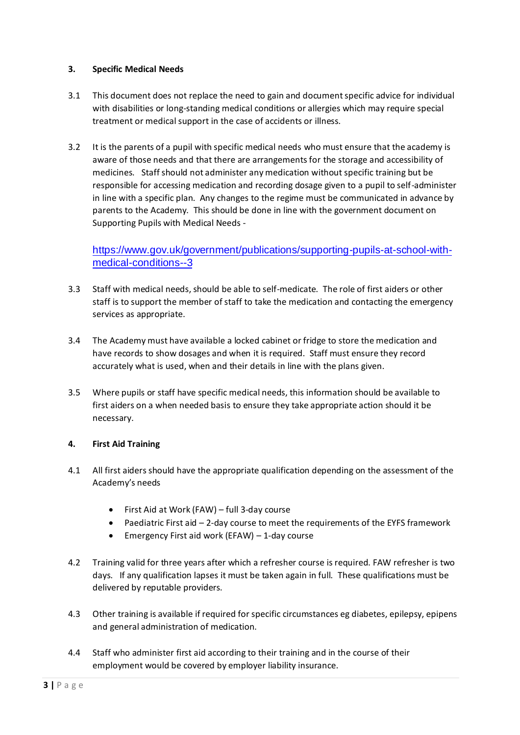# **3. Specific Medical Needs**

- 3.1 This document does not replace the need to gain and document specific advice for individual with disabilities or long-standing medical conditions or allergies which may require special treatment or medical support in the case of accidents or illness.
- 3.2 It is the parents of a pupil with specific medical needs who must ensure that the academy is aware of those needs and that there are arrangements for the storage and accessibility of medicines. Staff should not administer any medication without specific training but be responsible for accessing medication and recording dosage given to a pupil to self-administer in line with a specific plan. Any changes to the regime must be communicated in advance by parents to the Academy. This should be done in line with the government document on Supporting Pupils with Medical Needs -

# [https://www.gov.uk/government/publications/supporting-pupils-at-school-with](https://www.gov.uk/government/publications/supporting-pupils-at-school-with-medical-conditions--3)[medical-conditions--3](https://www.gov.uk/government/publications/supporting-pupils-at-school-with-medical-conditions--3)

- 3.3 Staff with medical needs, should be able to self-medicate. The role of first aiders or other staff is to support the member of staff to take the medication and contacting the emergency services as appropriate.
- 3.4 The Academy must have available a locked cabinet or fridge to store the medication and have records to show dosages and when it is required. Staff must ensure they record accurately what is used, when and their details in line with the plans given.
- 3.5 Where pupils or staff have specific medical needs, this information should be available to first aiders on a when needed basis to ensure they take appropriate action should it be necessary.

# **4. First Aid Training**

- 4.1 All first aiders should have the appropriate qualification depending on the assessment of the Academy's needs
	- First Aid at Work (FAW) full 3-day course
	- Paediatric First aid 2-day course to meet the requirements of the EYFS framework
	- Emergency First aid work (EFAW) 1-day course
- 4.2 Training valid for three years after which a refresher course is required. FAW refresher is two days. If any qualification lapses it must be taken again in full. These qualifications must be delivered by reputable providers.
- 4.3 Other training is available if required for specific circumstances eg diabetes, epilepsy, epipens and general administration of medication.
- 4.4 Staff who administer first aid according to their training and in the course of their employment would be covered by employer liability insurance.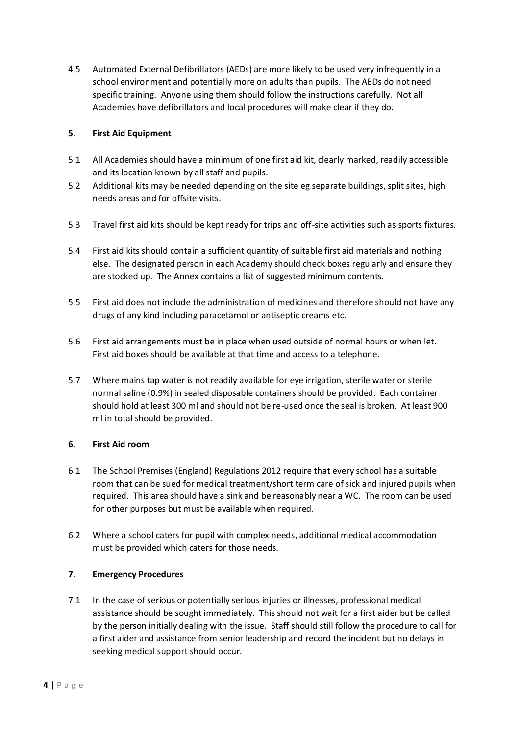4.5 Automated External Defibrillators (AEDs) are more likely to be used very infrequently in a school environment and potentially more on adults than pupils. The AEDs do not need specific training. Anyone using them should follow the instructions carefully. Not all Academies have defibrillators and local procedures will make clear if they do.

# **5. First Aid Equipment**

- 5.1 All Academies should have a minimum of one first aid kit, clearly marked, readily accessible and its location known by all staff and pupils.
- 5.2 Additional kits may be needed depending on the site eg separate buildings, split sites, high needs areas and for offsite visits.
- 5.3 Travel first aid kits should be kept ready for trips and off-site activities such as sports fixtures.
- 5.4 First aid kits should contain a sufficient quantity of suitable first aid materials and nothing else. The designated person in each Academy should check boxes regularly and ensure they are stocked up. The Annex contains a list of suggested minimum contents.
- 5.5 First aid does not include the administration of medicines and therefore should not have any drugs of any kind including paracetamol or antiseptic creams etc.
- 5.6 First aid arrangements must be in place when used outside of normal hours or when let. First aid boxes should be available at that time and access to a telephone.
- 5.7 Where mains tap water is not readily available for eye irrigation, sterile water or sterile normal saline (0.9%) in sealed disposable containers should be provided. Each container should hold at least 300 ml and should not be re-used once the seal is broken. At least 900 ml in total should be provided.

# **6. First Aid room**

- 6.1 The School Premises (England) Regulations 2012 require that every school has a suitable room that can be sued for medical treatment/short term care of sick and injured pupils when required. This area should have a sink and be reasonably near a WC. The room can be used for other purposes but must be available when required.
- 6.2 Where a school caters for pupil with complex needs, additional medical accommodation must be provided which caters for those needs.

# **7. Emergency Procedures**

7.1 In the case of serious or potentially serious injuries or illnesses, professional medical assistance should be sought immediately. This should not wait for a first aider but be called by the person initially dealing with the issue. Staff should still follow the procedure to call for a first aider and assistance from senior leadership and record the incident but no delays in seeking medical support should occur.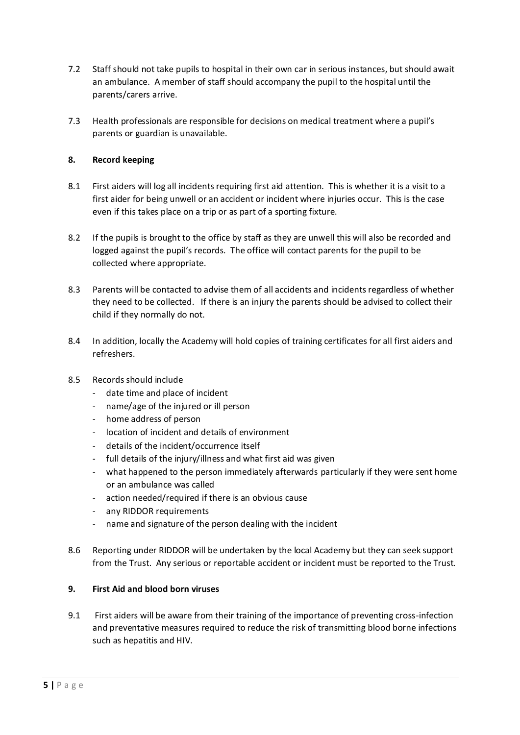- 7.2 Staff should not take pupils to hospital in their own car in serious instances, but should await an ambulance. A member of staff should accompany the pupil to the hospital until the parents/carers arrive.
- 7.3 Health professionals are responsible for decisions on medical treatment where a pupil's parents or guardian is unavailable.

# **8. Record keeping**

- 8.1 First aiders will log all incidents requiring first aid attention. This is whether it is a visit to a first aider for being unwell or an accident or incident where injuries occur. This is the case even if this takes place on a trip or as part of a sporting fixture.
- 8.2 If the pupils is brought to the office by staff as they are unwell this will also be recorded and logged against the pupil's records. The office will contact parents for the pupil to be collected where appropriate.
- 8.3 Parents will be contacted to advise them of all accidents and incidents regardless of whether they need to be collected. If there is an injury the parents should be advised to collect their child if they normally do not.
- 8.4 In addition, locally the Academy will hold copies of training certificates for all first aiders and refreshers.
- 8.5 Records should include
	- date time and place of incident
	- name/age of the injured or ill person
	- home address of person
	- location of incident and details of environment
	- details of the incident/occurrence itself
	- full details of the injury/illness and what first aid was given
	- what happened to the person immediately afterwards particularly if they were sent home or an ambulance was called
	- action needed/required if there is an obvious cause
	- any RIDDOR requirements
	- name and signature of the person dealing with the incident
- 8.6 Reporting under RIDDOR will be undertaken by the local Academy but they can seek support from the Trust. Any serious or reportable accident or incident must be reported to the Trust.

## **9. First Aid and blood born viruses**

9.1 First aiders will be aware from their training of the importance of preventing cross-infection and preventative measures required to reduce the risk of transmitting blood borne infections such as hepatitis and HIV.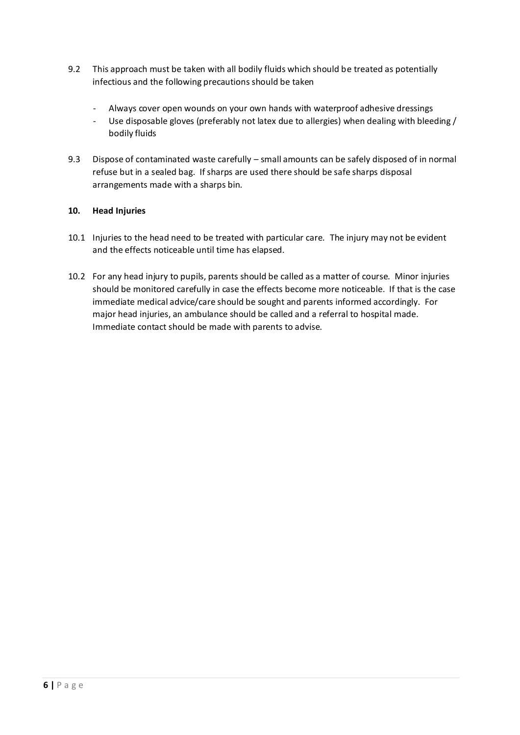- 9.2 This approach must be taken with all bodily fluids which should be treated as potentially infectious and the following precautions should be taken
	- Always cover open wounds on your own hands with waterproof adhesive dressings
	- Use disposable gloves (preferably not latex due to allergies) when dealing with bleeding / bodily fluids
- 9.3 Dispose of contaminated waste carefully small amounts can be safely disposed of in normal refuse but in a sealed bag. If sharps are used there should be safe sharps disposal arrangements made with a sharps bin.

# **10. Head Injuries**

- 10.1 Injuries to the head need to be treated with particular care. The injury may not be evident and the effects noticeable until time has elapsed.
- 10.2 For any head injury to pupils, parents should be called as a matter of course. Minor injuries should be monitored carefully in case the effects become more noticeable. If that is the case immediate medical advice/care should be sought and parents informed accordingly. For major head injuries, an ambulance should be called and a referral to hospital made. Immediate contact should be made with parents to advise.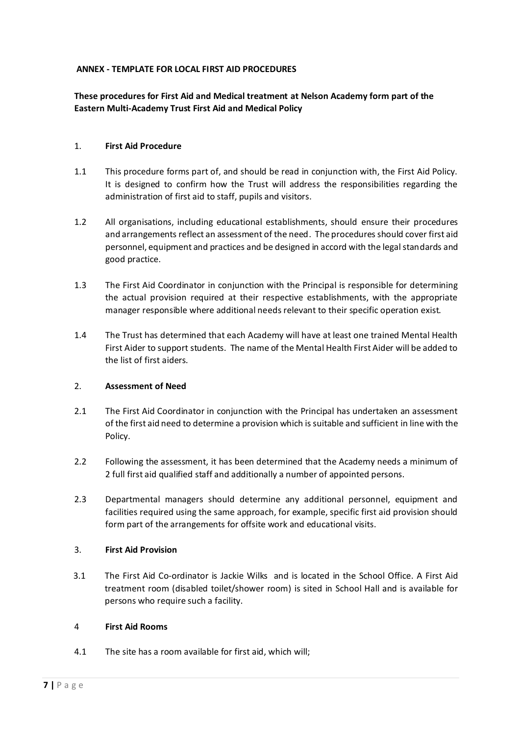# **ANNEX - TEMPLATE FOR LOCAL FIRST AID PROCEDURES**

# **These procedures for First Aid and Medical treatment at Nelson Academy form part of the Eastern Multi-Academy Trust First Aid and Medical Policy**

#### 1. **First Aid Procedure**

- 1.1 This procedure forms part of, and should be read in conjunction with, the First Aid Policy. It is designed to confirm how the Trust will address the responsibilities regarding the administration of first aid to staff, pupils and visitors.
- 1.2 All organisations, including educational establishments, should ensure their procedures and arrangements reflect an assessment of the need. The procedures should cover first aid personnel, equipment and practices and be designed in accord with the legal standards and good practice.
- 1.3 The First Aid Coordinator in conjunction with the Principal is responsible for determining the actual provision required at their respective establishments, with the appropriate manager responsible where additional needs relevant to their specific operation exist.
- 1.4 The Trust has determined that each Academy will have at least one trained Mental Health First Aider to support students. The name of the Mental Health First Aider will be added to the list of first aiders.

#### 2. **Assessment of Need**

- 2.1 The First Aid Coordinator in conjunction with the Principal has undertaken an assessment of the first aid need to determine a provision which is suitable and sufficient in line with the Policy.
- 2.2 Following the assessment, it has been determined that the Academy needs a minimum of 2 full first aid qualified staff and additionally a number of appointed persons.
- 2.3 Departmental managers should determine any additional personnel, equipment and facilities required using the same approach, for example, specific first aid provision should form part of the arrangements for offsite work and educational visits.

### 3. **First Aid Provision**

3.1 The First Aid Co-ordinator is Jackie Wilks and is located in the School Office. A First Aid treatment room (disabled toilet/shower room) is sited in School Hall and is available for persons who require such a facility.

#### 4 **First Aid Rooms**

4.1 The site has a room available for first aid, which will;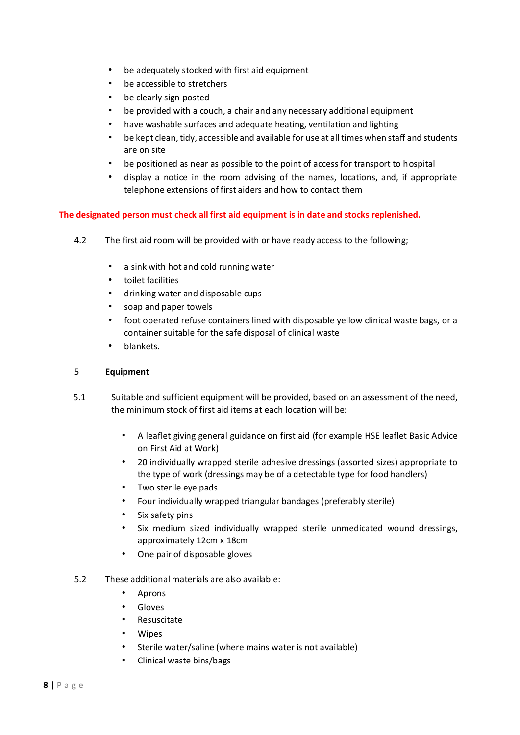- be adequately stocked with first aid equipment
- be accessible to stretchers
- be clearly sign-posted
- be provided with a couch, a chair and any necessary additional equipment
- have washable surfaces and adequate heating, ventilation and lighting
- be kept clean, tidy, accessible and available for use at all times when staff and students are on site
- be positioned as near as possible to the point of access for transport to hospital
- display a notice in the room advising of the names, locations, and, if appropriate telephone extensions of first aiders and how to contact them

## **The designated person must check all first aid equipment is in date and stocks replenished.**

- 4.2 The first aid room will be provided with or have ready access to the following;
	- a sink with hot and cold running water
	- toilet facilities
	- drinking water and disposable cups
	- soap and paper towels
	- foot operated refuse containers lined with disposable yellow clinical waste bags, or a container suitable for the safe disposal of clinical waste
	- blankets.

### 5 **Equipment**

- 5.1 Suitable and sufficient equipment will be provided, based on an assessment of the need, the minimum stock of first aid items at each location will be:
	- A leaflet giving general guidance on first aid (for example HSE leaflet Basic Advice on First Aid at Work)
	- 20 individually wrapped sterile adhesive dressings (assorted sizes) appropriate to the type of work (dressings may be of a detectable type for food handlers)
	- Two sterile eye pads
	- Four individually wrapped triangular bandages (preferably sterile)
	- Six safety pins
	- Six medium sized individually wrapped sterile unmedicated wound dressings, approximately 12cm x 18cm
	- One pair of disposable gloves
- 5.2 These additional materials are also available:
	- Aprons
	- **Gloves**
	- Resuscitate
	- **Wipes**
	- Sterile water/saline (where mains water is not available)
	- Clinical waste bins/bags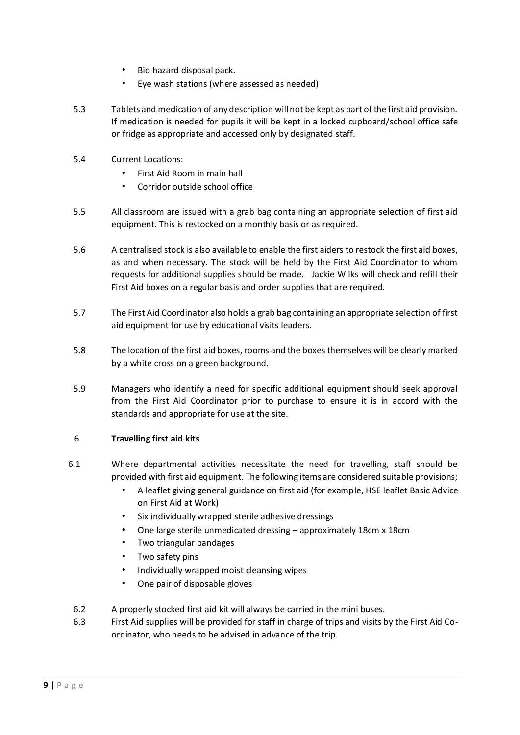- Bio hazard disposal pack.
- Eye wash stations (where assessed as needed)
- 5.3 Tablets and medication of any description will not be kept as part of the first aid provision. If medication is needed for pupils it will be kept in a locked cupboard/school office safe or fridge as appropriate and accessed only by designated staff.
- 5.4 Current Locations:
	- First Aid Room in main hall
	- Corridor outside school office
- 5.5 All classroom are issued with a grab bag containing an appropriate selection of first aid equipment. This is restocked on a monthly basis or as required.
- 5.6 A centralised stock is also available to enable the first aiders to restock the first aid boxes, as and when necessary. The stock will be held by the First Aid Coordinator to whom requests for additional supplies should be made. Jackie Wilks will check and refill their First Aid boxes on a regular basis and order supplies that are required.
- 5.7 The First Aid Coordinator also holds a grab bag containing an appropriate selection of first aid equipment for use by educational visits leaders.
- 5.8 The location of the first aid boxes, rooms and the boxes themselves will be clearly marked by a white cross on a green background.
- 5.9 Managers who identify a need for specific additional equipment should seek approval from the First Aid Coordinator prior to purchase to ensure it is in accord with the standards and appropriate for use at the site.

# 6 **Travelling first aid kits**

- 6.1 Where departmental activities necessitate the need for travelling, staff should be provided with first aid equipment. The following items are considered suitable provisions;
	- A leaflet giving general guidance on first aid (for example, HSE leaflet Basic Advice on First Aid at Work)
	- Six individually wrapped sterile adhesive dressings
	- One large sterile unmedicated dressing approximately 18cm x 18cm
	- Two triangular bandages
	- Two safety pins
	- Individually wrapped moist cleansing wipes
	- One pair of disposable gloves
	- 6.2 A properly stocked first aid kit will always be carried in the mini buses.
	- 6.3 First Aid supplies will be provided for staff in charge of trips and visits by the First Aid Coordinator, who needs to be advised in advance of the trip.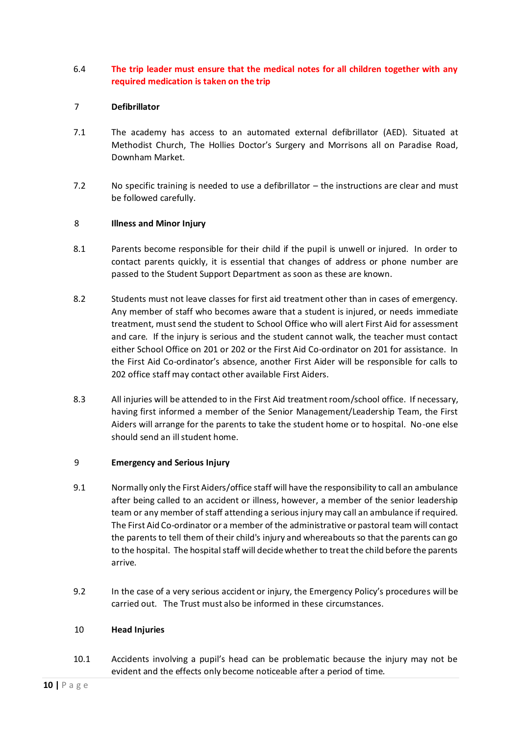# 6.4 **The trip leader must ensure that the medical notes for all children together with any required medication is taken on the trip**

## 7 **Defibrillator**

- 7.1 The academy has access to an automated external defibrillator (AED). Situated at Methodist Church, The Hollies Doctor's Surgery and Morrisons all on Paradise Road, Downham Market.
- 7.2 No specific training is needed to use a defibrillator the instructions are clear and must be followed carefully.

## 8 **Illness and Minor Injury**

- 8.1 Parents become responsible for their child if the pupil is unwell or injured. In order to contact parents quickly, it is essential that changes of address or phone number are passed to the Student Support Department as soon as these are known.
- 8.2 Students must not leave classes for first aid treatment other than in cases of emergency. Any member of staff who becomes aware that a student is injured, or needs immediate treatment, must send the student to School Office who will alert First Aid for assessment and care. If the injury is serious and the student cannot walk, the teacher must contact either School Office on 201 or 202 or the First Aid Co-ordinator on 201 for assistance. In the First Aid Co-ordinator's absence, another First Aider will be responsible for calls to 202 office staff may contact other available First Aiders.
- 8.3 All injuries will be attended to in the First Aid treatment room/school office. If necessary, having first informed a member of the Senior Management/Leadership Team, the First Aiders will arrange for the parents to take the student home or to hospital. No-one else should send an ill student home.

#### 9 **Emergency and Serious Injury**

- 9.1 Normally only the First Aiders/office staff will have the responsibility to call an ambulance after being called to an accident or illness, however, a member of the senior leadership team or any member of staff attending a serious injury may call an ambulance if required. The First Aid Co-ordinator or a member of the administrative or pastoral team will contact the parents to tell them of their child's injury and whereabouts so that the parents can go to the hospital. The hospital staff will decide whether to treat the child before the parents arrive.
- 9.2 In the case of a very serious accident or injury, the Emergency Policy's procedures will be carried out. The Trust must also be informed in these circumstances.

#### 10 **Head Injuries**

10.1 Accidents involving a pupil's head can be problematic because the injury may not be evident and the effects only become noticeable after a period of time.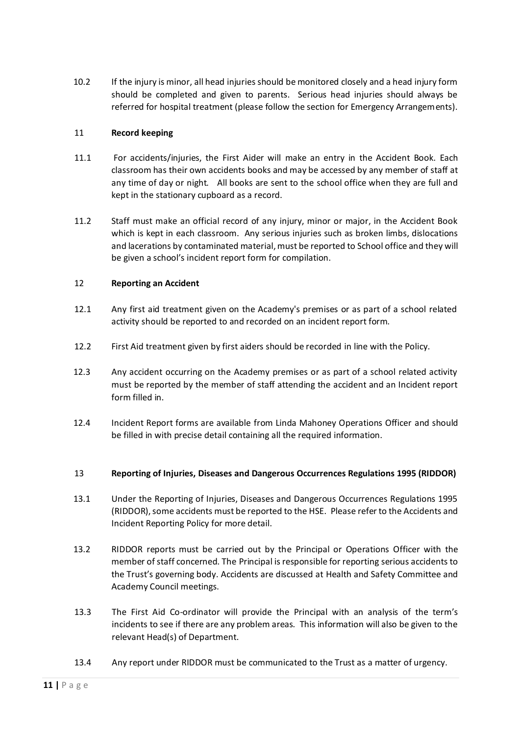10.2 If the injury is minor, all head injuries should be monitored closely and a head injury form should be completed and given to parents. Serious head injuries should always be referred for hospital treatment (please follow the section for Emergency Arrangements).

#### 11 **Record keeping**

- 11.1 For accidents/injuries, the First Aider will make an entry in the Accident Book. Each classroom has their own accidents books and may be accessed by any member of staff at any time of day or night. All books are sent to the school office when they are full and kept in the stationary cupboard as a record.
- 11.2 Staff must make an official record of any injury, minor or major, in the Accident Book which is kept in each classroom. Any serious injuries such as broken limbs, dislocations and lacerations by contaminated material, must be reported to School office and they will be given a school's incident report form for compilation.

## 12 **Reporting an Accident**

- 12.1 Any first aid treatment given on the Academy's premises or as part of a school related activity should be reported to and recorded on an incident report form.
- 12.2 First Aid treatment given by first aiders should be recorded in line with the Policy.
- 12.3 Any accident occurring on the Academy premises or as part of a school related activity must be reported by the member of staff attending the accident and an Incident report form filled in.
- 12.4 Incident Report forms are available from Linda Mahoney Operations Officer and should be filled in with precise detail containing all the required information.

#### 13 **Reporting of Injuries, Diseases and Dangerous Occurrences Regulations 1995 (RIDDOR)**

- 13.1 Under the Reporting of Injuries, Diseases and Dangerous Occurrences Regulations 1995 (RIDDOR), some accidents must be reported to the HSE. Please refer to the Accidents and Incident Reporting Policy for more detail.
- 13.2 RIDDOR reports must be carried out by the Principal or Operations Officer with the member of staff concerned. The Principal is responsible for reporting serious accidents to the Trust's governing body. Accidents are discussed at Health and Safety Committee and Academy Council meetings.
- 13.3 The First Aid Co-ordinator will provide the Principal with an analysis of the term's incidents to see if there are any problem areas. This information will also be given to the relevant Head(s) of Department.
- 13.4 Any report under RIDDOR must be communicated to the Trust as a matter of urgency.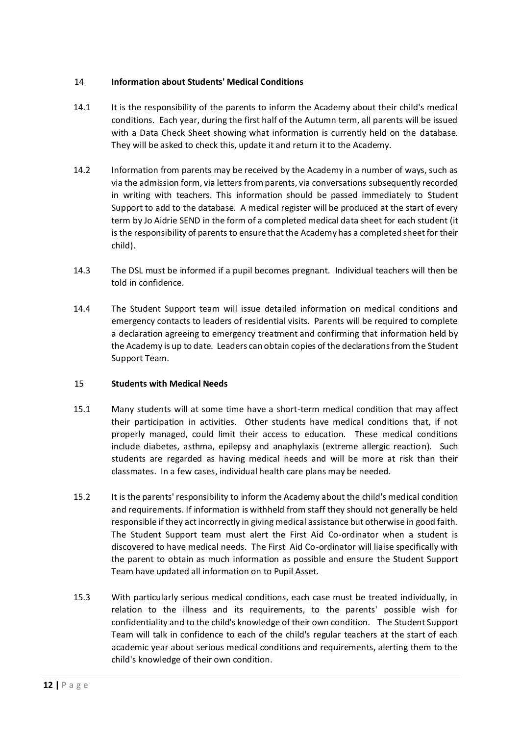# 14 **Information about Students' Medical Conditions**

- 14.1 It is the responsibility of the parents to inform the Academy about their child's medical conditions. Each year, during the first half of the Autumn term, all parents will be issued with a Data Check Sheet showing what information is currently held on the database. They will be asked to check this, update it and return it to the Academy.
- 14.2 Information from parents may be received by the Academy in a number of ways, such as via the admission form, via letters from parents, via conversations subsequently recorded in writing with teachers. This information should be passed immediately to Student Support to add to the database. A medical register will be produced at the start of every term by Jo Aidrie SEND in the form of a completed medical data sheet for each student (it is the responsibility of parents to ensure that the Academy has a completed sheet for their child).
- 14.3 The DSL must be informed if a pupil becomes pregnant. Individual teachers will then be told in confidence.
- 14.4 The Student Support team will issue detailed information on medical conditions and emergency contacts to leaders of residential visits. Parents will be required to complete a declaration agreeing to emergency treatment and confirming that information held by the Academy is up to date. Leaders can obtain copies of the declarations from the Student Support Team.

# 15 **Students with Medical Needs**

- 15.1 Many students will at some time have a short-term medical condition that may affect their participation in activities. Other students have medical conditions that, if not properly managed, could limit their access to education. These medical conditions include diabetes, asthma, epilepsy and anaphylaxis (extreme allergic reaction). Such students are regarded as having medical needs and will be more at risk than their classmates. In a few cases, individual health care plans may be needed.
- 15.2 It is the parents' responsibility to inform the Academy about the child's medical condition and requirements. If information is withheld from staff they should not generally be held responsible if they act incorrectly in giving medical assistance but otherwise in good faith. The Student Support team must alert the First Aid Co-ordinator when a student is discovered to have medical needs. The First Aid Co-ordinator will liaise specifically with the parent to obtain as much information as possible and ensure the Student Support Team have updated all information on to Pupil Asset.
- 15.3 With particularly serious medical conditions, each case must be treated individually, in relation to the illness and its requirements, to the parents' possible wish for confidentiality and to the child's knowledge of their own condition. The Student Support Team will talk in confidence to each of the child's regular teachers at the start of each academic year about serious medical conditions and requirements, alerting them to the child's knowledge of their own condition.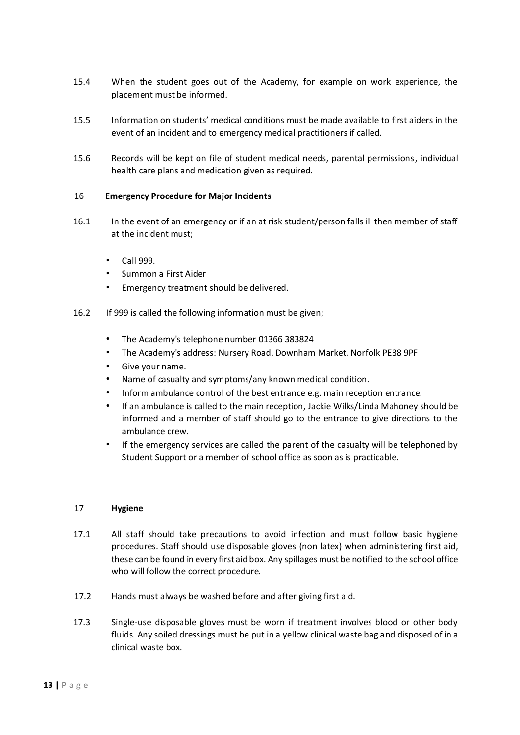- 15.4 When the student goes out of the Academy, for example on work experience, the placement must be informed.
- 15.5 Information on students' medical conditions must be made available to first aiders in the event of an incident and to emergency medical practitioners if called.
- 15.6 Records will be kept on file of student medical needs, parental permissions, individual health care plans and medication given as required.

## 16 **Emergency Procedure for Major Incidents**

- 16.1 In the event of an emergency or if an at risk student/person falls ill then member of staff at the incident must;
	- Call 999.
	- Summon a First Aider
	- Emergency treatment should be delivered.
- 16.2 If 999 is called the following information must be given;
	- The Academy's telephone number 01366 383824
	- The Academy's address: Nursery Road, Downham Market, Norfolk PE38 9PF
	- Give your name.
	- Name of casualty and symptoms/any known medical condition.
	- Inform ambulance control of the best entrance e.g. main reception entrance.
	- If an ambulance is called to the main reception, Jackie Wilks/Linda Mahoney should be informed and a member of staff should go to the entrance to give directions to the ambulance crew.
	- If the emergency services are called the parent of the casualty will be telephoned by Student Support or a member of school office as soon as is practicable.

#### 17 **Hygiene**

- 17.1 All staff should take precautions to avoid infection and must follow basic hygiene procedures. Staff should use disposable gloves (non latex) when administering first aid, these can be found in every first aid box. Any spillages must be notified to the school office who will follow the correct procedure.
- 17.2 Hands must always be washed before and after giving first aid.
- 17.3 Single-use disposable gloves must be worn if treatment involves blood or other body fluids. Any soiled dressings must be put in a yellow clinical waste bag and disposed of in a clinical waste box.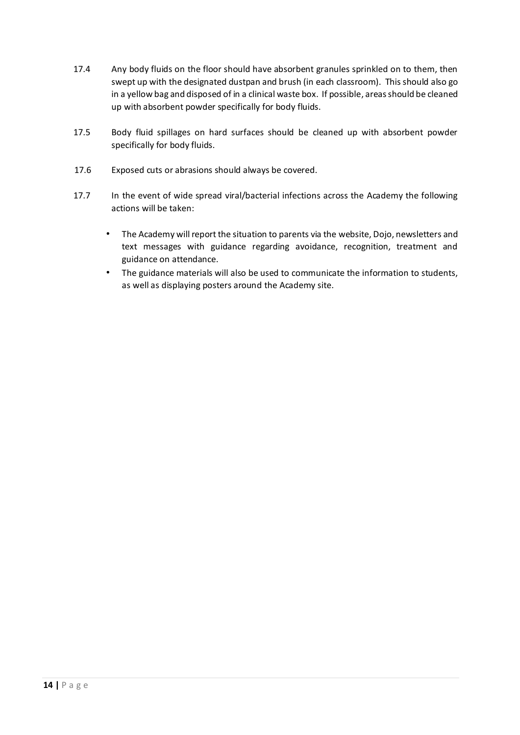- 17.4 Any body fluids on the floor should have absorbent granules sprinkled on to them, then swept up with the designated dustpan and brush (in each classroom). This should also go in a yellow bag and disposed of in a clinical waste box. If possible, areas should be cleaned up with absorbent powder specifically for body fluids.
- 17.5 Body fluid spillages on hard surfaces should be cleaned up with absorbent powder specifically for body fluids.
- 17.6 Exposed cuts or abrasions should always be covered.
- 17.7 In the event of wide spread viral/bacterial infections across the Academy the following actions will be taken:
	- The Academy will report the situation to parents via the website, Dojo, newsletters and text messages with guidance regarding avoidance, recognition, treatment and guidance on attendance.
	- The guidance materials will also be used to communicate the information to students, as well as displaying posters around the Academy site.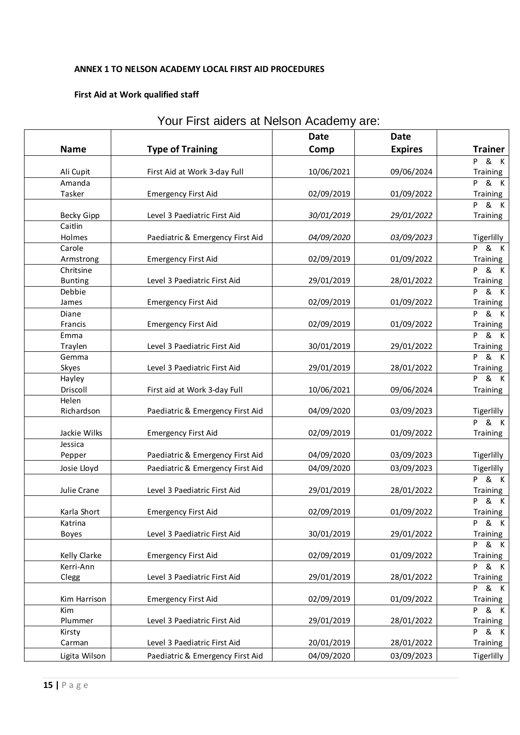# **ANNEX 1 TO NELSON ACADEMY LOCAL FIRST AID PROCEDURES**

# **First Aid at Work qualified staff**

| <b>Date</b><br>Date |                   |                                  |            |                |                              |
|---------------------|-------------------|----------------------------------|------------|----------------|------------------------------|
|                     | <b>Name</b>       | <b>Type of Training</b>          | Comp       | <b>Expires</b> | <b>Trainer</b>               |
|                     |                   |                                  |            |                | P & K                        |
|                     | Ali Cupit         | First Aid at Work 3-day Full     | 10/06/2021 | 09/06/2024     | Training                     |
|                     | Amanda            |                                  |            |                | $\overline{P}$ & K           |
|                     | Tasker            | <b>Emergency First Aid</b>       | 02/09/2019 | 01/09/2022     | Training                     |
|                     |                   |                                  |            |                | P & K                        |
|                     | <b>Becky Gipp</b> | Level 3 Paediatric First Aid     | 30/01/2019 | 29/01/2022     | Training                     |
|                     | Caitlin           |                                  |            |                |                              |
|                     | Holmes            | Paediatric & Emergency First Aid | 04/09/2020 | 03/09/2023     | Tigerlilly                   |
|                     | Carole            |                                  |            |                | <b>P</b> & K                 |
|                     | Armstrong         | <b>Emergency First Aid</b>       | 02/09/2019 | 01/09/2022     | Training                     |
|                     | Chritsine         |                                  |            |                | <b>P</b> & K                 |
|                     | <b>Bunting</b>    | Level 3 Paediatric First Aid     | 29/01/2019 | 28/01/2022     | Training                     |
|                     | Debbie            |                                  |            |                | $P$ & K                      |
|                     | James             | <b>Emergency First Aid</b>       | 02/09/2019 | 01/09/2022     | Training                     |
|                     | Diane             |                                  |            |                | P & K                        |
|                     | Francis           | <b>Emergency First Aid</b>       | 02/09/2019 | 01/09/2022     | Training                     |
|                     | Emma              |                                  |            |                | $\overline{P}$ & K           |
|                     | Traylen           | Level 3 Paediatric First Aid     | 30/01/2019 | 29/01/2022     | Training                     |
|                     | Gemma             |                                  |            |                | $\overline{P}$ & K           |
|                     | Skyes             | Level 3 Paediatric First Aid     | 29/01/2019 | 28/01/2022     | Training                     |
|                     | Hayley            |                                  |            |                | <b>P &amp; K</b>             |
|                     | Driscoll          | First aid at Work 3-day Full     | 10/06/2021 | 09/06/2024     | Training                     |
|                     | Helen             |                                  |            |                |                              |
|                     | Richardson        | Paediatric & Emergency First Aid | 04/09/2020 | 03/09/2023     | Tigerlilly                   |
|                     |                   |                                  |            |                | $P$ & K                      |
|                     | Jackie Wilks      | <b>Emergency First Aid</b>       | 02/09/2019 | 01/09/2022     | Training                     |
|                     | Jessica           |                                  |            |                |                              |
|                     | Pepper            | Paediatric & Emergency First Aid | 04/09/2020 | 03/09/2023     | Tigerlilly                   |
|                     | Josie Lloyd       | Paediatric & Emergency First Aid | 04/09/2020 | 03/09/2023     | Tigerlilly                   |
|                     |                   |                                  |            |                | $P$ & K                      |
|                     | Julie Crane       | Level 3 Paediatric First Aid     | 29/01/2019 | 28/01/2022     | Training<br>$P$ & K          |
|                     |                   |                                  |            |                |                              |
|                     | Karla Short       | <b>Emergency First Aid</b>       | 02/09/2019 | 01/09/2022     | Training<br>& K              |
|                     | Katrina           |                                  |            |                | P                            |
|                     | <b>Boyes</b>      | Level 3 Paediatric First Aid     | 30/01/2019 | 29/01/2022     | Training<br><b>P &amp; K</b> |
|                     | Kelly Clarke      | <b>Emergency First Aid</b>       | 02/09/2019 | 01/09/2022     | Training                     |
|                     | Kerri-Ann         |                                  |            |                | & K<br>P.                    |
|                     | Clegg             | Level 3 Paediatric First Aid     | 29/01/2019 | 28/01/2022     | Training                     |
|                     |                   |                                  |            |                | <b>P &amp; K</b>             |
|                     | Kim Harrison      | <b>Emergency First Aid</b>       | 02/09/2019 | 01/09/2022     | Training                     |
|                     | Kim               |                                  |            |                | <b>P</b> & K                 |
|                     | Plummer           | Level 3 Paediatric First Aid     | 29/01/2019 | 28/01/2022     | Training                     |
|                     | Kirsty            |                                  |            |                | <b>P &amp; K</b>             |
|                     | Carman            | Level 3 Paediatric First Aid     | 20/01/2019 | 28/01/2022     | Training                     |
|                     | Ligita Wilson     | Paediatric & Emergency First Aid | 04/09/2020 | 03/09/2023     | Tigerlilly                   |
|                     |                   |                                  |            |                |                              |

# Your First aiders at Nelson Academy are: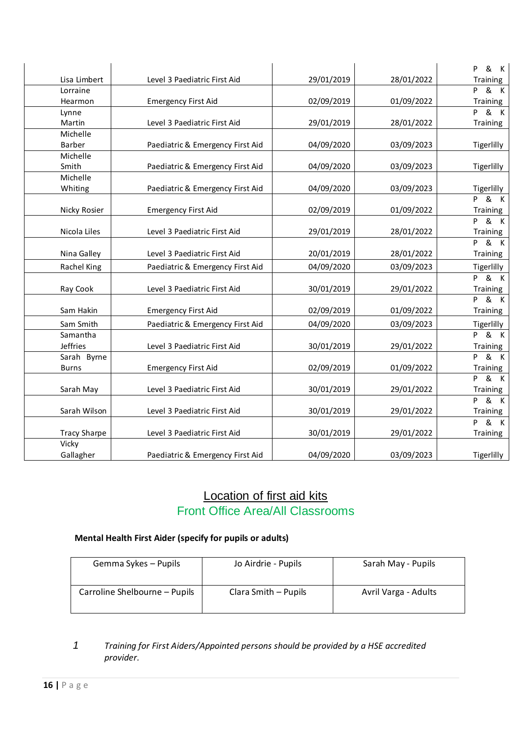|                      |                                  |            |            | & K<br>P                     |
|----------------------|----------------------------------|------------|------------|------------------------------|
| Lisa Limbert         | Level 3 Paediatric First Aid     | 29/01/2019 | 28/01/2022 | Training                     |
| Lorraine             |                                  |            |            | & K<br>P.                    |
| Hearmon              | <b>Emergency First Aid</b>       | 02/09/2019 | 01/09/2022 | Training                     |
| Lynne                |                                  |            |            | & K<br>P.                    |
| Martin               | Level 3 Paediatric First Aid     | 29/01/2019 | 28/01/2022 | Training                     |
| Michelle             |                                  |            |            |                              |
| Barber               | Paediatric & Emergency First Aid | 04/09/2020 | 03/09/2023 | Tigerlilly                   |
| Michelle             |                                  |            |            |                              |
| Smith                | Paediatric & Emergency First Aid | 04/09/2020 | 03/09/2023 | Tigerlilly                   |
| Michelle             |                                  |            |            |                              |
| Whiting              | Paediatric & Emergency First Aid | 04/09/2020 | 03/09/2023 | Tigerlilly                   |
|                      |                                  |            |            | & K<br><b>P</b>              |
| Nicky Rosier         | <b>Emergency First Aid</b>       | 02/09/2019 | 01/09/2022 | Training                     |
| Nicola Liles         |                                  |            |            | & K<br>P.                    |
|                      | Level 3 Paediatric First Aid     | 29/01/2019 | 28/01/2022 | Training<br><b>P &amp; K</b> |
| Nina Galley          | Level 3 Paediatric First Aid     | 20/01/2019 | 28/01/2022 | Training                     |
|                      |                                  |            |            |                              |
| Rachel King          | Paediatric & Emergency First Aid | 04/09/2020 | 03/09/2023 | Tigerlilly                   |
| Ray Cook             | Level 3 Paediatric First Aid     | 30/01/2019 | 29/01/2022 | & K<br>P.                    |
|                      |                                  |            |            | Training<br>& K<br>P.        |
| Sam Hakin            | <b>Emergency First Aid</b>       | 02/09/2019 | 01/09/2022 | Training                     |
|                      |                                  |            |            |                              |
| Sam Smith            | Paediatric & Emergency First Aid | 04/09/2020 | 03/09/2023 | Tigerlilly                   |
| Samantha<br>Jeffries | Level 3 Paediatric First Aid     |            |            | & K<br>P.                    |
| Sarah Byrne          |                                  | 30/01/2019 | 29/01/2022 | Training<br>& K<br>P         |
| <b>Burns</b>         | <b>Emergency First Aid</b>       | 02/09/2019 | 01/09/2022 | Training                     |
|                      |                                  |            |            | & K<br>P                     |
| Sarah May            | Level 3 Paediatric First Aid     | 30/01/2019 | 29/01/2022 | Training                     |
|                      |                                  |            |            | $\overline{8}$ K<br>P.       |
| Sarah Wilson         | Level 3 Paediatric First Aid     | 30/01/2019 | 29/01/2022 | Training                     |
|                      |                                  |            |            | $P$ & K                      |
| <b>Tracy Sharpe</b>  | Level 3 Paediatric First Aid     | 30/01/2019 | 29/01/2022 | Training                     |
| Vicky                |                                  |            |            |                              |
| Gallagher            | Paediatric & Emergency First Aid | 04/09/2020 | 03/09/2023 | Tigerlilly                   |

# Location of first aid kits Front Office Area/All Classrooms

# **Mental Health First Aider (specify for pupils or adults)**

| Gemma Sykes – Pupils          | Jo Airdrie - Pupils  | Sarah May - Pupils   |
|-------------------------------|----------------------|----------------------|
| Carroline Shelbourne - Pupils | Clara Smith - Pupils | Avril Varga - Adults |

# *1 Training for First Aiders/Appointed persons should be provided by a HSE accredited provider.*